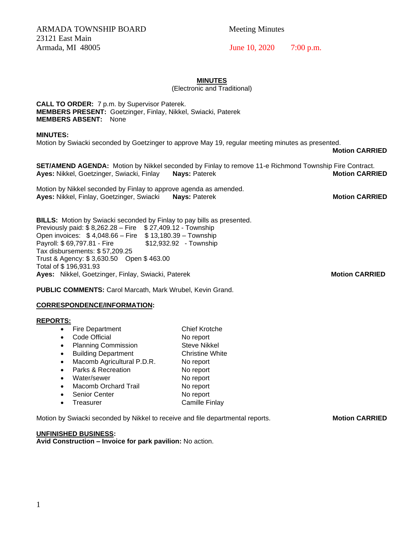ARMADA TOWNSHIP BOARD Meeting Minutes 23121 East Main Armada, MI 48005 June 10, 2020 7:00 p.m.

## **MINUTES**

(Electronic and Traditional)

**CALL TO ORDER:** 7 p.m. by Supervisor Paterek. **MEMBERS PRESENT:** Goetzinger, Finlay, Nikkel, Swiacki, Paterek **MEMBERS ABSENT:** None

#### **MINUTES:**

Motion by Swiacki seconded by Goetzinger to approve May 19, regular meeting minutes as presented.

**Motion CARRIED**

**SET/AMEND AGENDA:** Motion by Nikkel seconded by Finlay to remove 11-e Richmond Township Fire Contract. **Ayes:** Nikkel, Goetzinger, Swiacki, Finlay **Nays:** Paterek **Motion CARRIED**

Motion by Nikkel seconded by Finlay to approve agenda as amended. **Ayes:** Nikkel, Finlay, Goetzinger, Swiacki **Nays:** Paterek **Motion CARRIED**

**BILLS:** Motion by Swiacki seconded by Finlay to pay bills as presented. Previously paid: \$8,262.28 - Fire \$27,409.12 - Township Open invoices: \$ 4,048.66 – Fire \$ 13,180.39 – Township Payroll: \$69,797.81 - Fire \$12,932.92 - Township Tax disbursements: \$ 57,209.25 Trust & Agency: \$ 3,630.50 Open \$ 463.00 Total of \$ 196,931.93 **Ayes:** Nikkel, Goetzinger, Finlay, Swiacki, Paterek **Motion CARRIED**

**PUBLIC COMMENTS:** Carol Marcath, Mark Wrubel, Kevin Grand.

### **CORRESPONDENCE/INFORMATION:**

### **REPORTS:**

- Fire Department Chief Krotche
- Code Official **No report**
- Planning Commission Steve Nikkel
- Building Department Christine White
- Macomb Agricultural P.D.R. No report
- Parks & Recreation No report • Water/sewer No report
- Macomb Orchard Trail No report
- **Senior Center No report**
- Treasurer Camille Finlay

Motion by Swiacki seconded by Nikkel to receive and file departmental reports. **Motion CARRIED** 

# **UNFINISHED BUSINESS:**

**Avid Construction – Invoice for park pavilion:** No action.